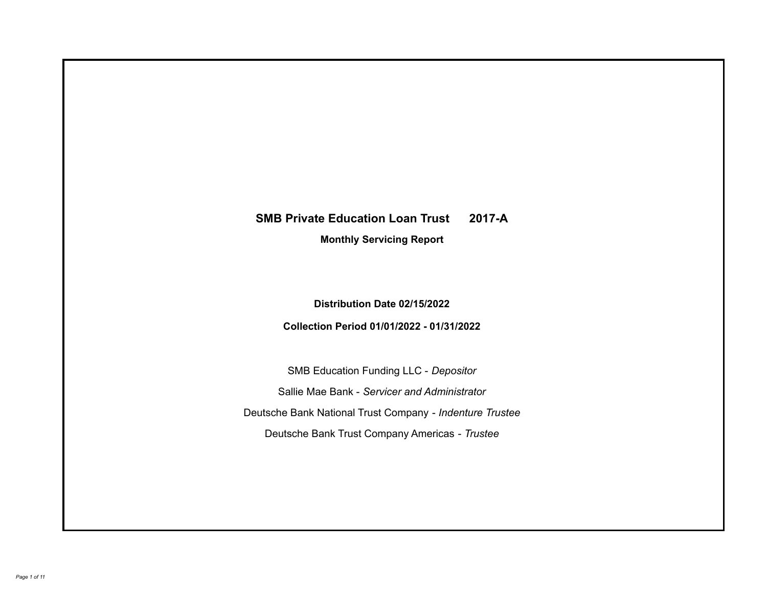# **SMB Private Education Loan Trust 2017-A**

**Monthly Servicing Report**

**Distribution Date 02/15/2022**

**Collection Period 01/01/2022 - 01/31/2022**

SMB Education Funding LLC - *Depositor* Sallie Mae Bank - *Servicer and Administrator* Deutsche Bank National Trust Company - *Indenture Trustee* Deutsche Bank Trust Company Americas - *Trustee*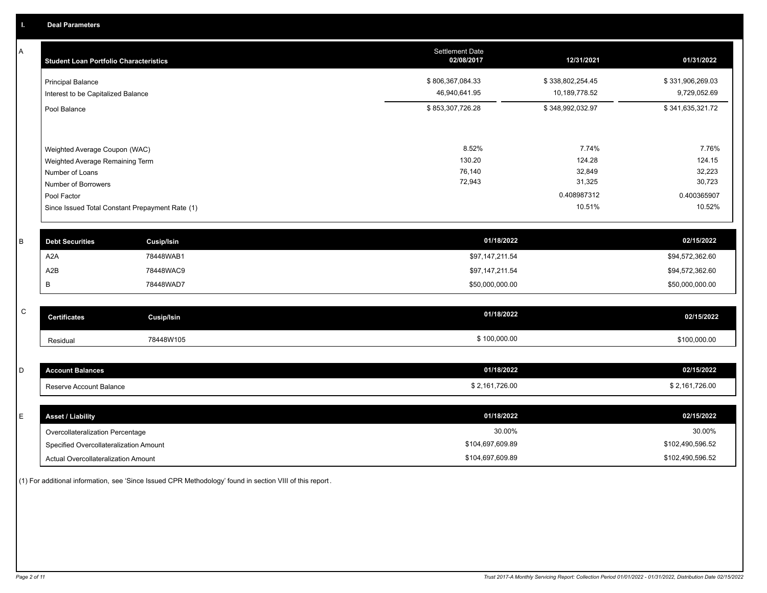A

| А | <b>Student Loan Portfolio Characteristics</b>                  |                   | <b>Settlement Date</b><br>02/08/2017 | 12/31/2021            | 01/31/2022            |
|---|----------------------------------------------------------------|-------------------|--------------------------------------|-----------------------|-----------------------|
|   | <b>Principal Balance</b>                                       |                   | \$806,367,084.33                     | \$338,802,254.45      | \$331,906,269.03      |
|   | Interest to be Capitalized Balance                             |                   | 46,940,641.95                        | 10,189,778.52         | 9,729,052.69          |
|   | Pool Balance                                                   |                   | \$853,307,726.28                     | \$348,992,032.97      | \$341,635,321.72      |
|   |                                                                |                   |                                      |                       |                       |
|   | Weighted Average Coupon (WAC)                                  |                   | 8.52%                                | 7.74%                 | 7.76%                 |
|   | Weighted Average Remaining Term                                |                   | 130.20                               | 124.28                | 124.15                |
|   | Number of Loans                                                |                   | 76,140                               | 32,849                | 32,223                |
|   | Number of Borrowers                                            |                   | 72,943                               | 31,325                | 30,723                |
|   | Pool Factor<br>Since Issued Total Constant Prepayment Rate (1) |                   |                                      | 0.408987312<br>10.51% | 0.400365907<br>10.52% |
| B | <b>Debt Securities</b>                                         | <b>Cusip/Isin</b> | 01/18/2022                           |                       | 02/15/2022            |
|   |                                                                |                   |                                      |                       |                       |
|   | A <sub>2</sub> A                                               | 78448WAB1         | \$97,147,211.54                      |                       | \$94,572,362.60       |
|   | A <sub>2</sub> B                                               | 78448WAC9         | \$97,147,211.54                      |                       | \$94,572,362.60       |
|   | В                                                              | 78448WAD7         | \$50,000,000.00                      |                       | \$50,000,000.00       |
| C | <b>Certificates</b>                                            | <b>Cusip/Isin</b> | 01/18/2022                           |                       | 02/15/2022            |
|   | Residual                                                       | 78448W105         | \$100,000.00                         |                       | \$100,000.00          |
|   |                                                                |                   |                                      |                       |                       |
| D | <b>Account Balances</b>                                        |                   | 01/18/2022                           |                       | 02/15/2022            |
|   | Reserve Account Balance                                        |                   | \$2,161,726.00                       |                       | \$2,161,726.00        |
|   |                                                                |                   |                                      |                       |                       |
| E | <b>Asset / Liability</b>                                       |                   | 01/18/2022                           |                       | 02/15/2022            |
|   | Overcollateralization Percentage                               |                   | 30.00%                               |                       | 30.00%                |
|   | Specified Overcollateralization Amount                         |                   | \$104,697,609.89                     |                       | \$102,490,596.52      |

(1) For additional information, see 'Since Issued CPR Methodology' found in section VIII of this report .

Actual Overcollateralization Amount \$104,697,609.89

\$102,490,596.52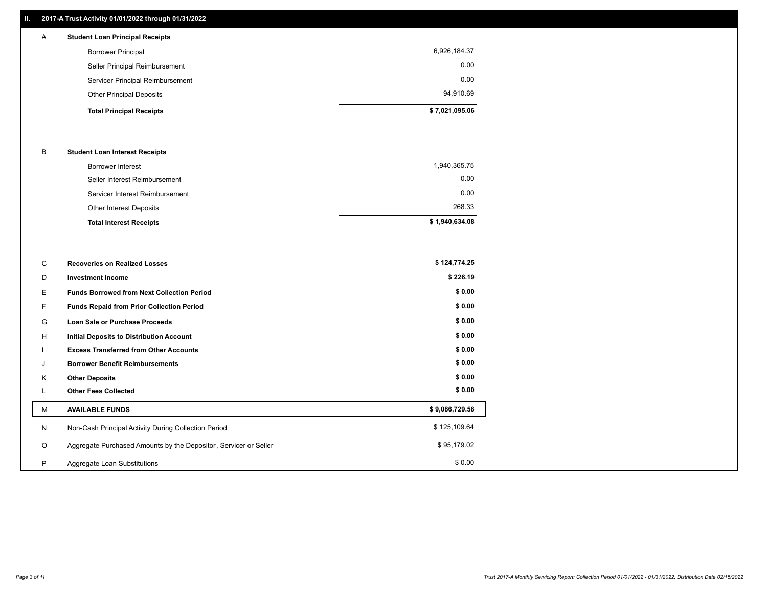## **II. 2017-A Trust Activity 01/01/2022 through 01/31/2022**

## **Total Principal Receipts \$ 7,021,095.06**  Other Principal Deposits 94,910.69 Servicer Principal Reimbursement 0.00 Seller Principal Reimbursement 0.00 Borrower Principal 6,926,184.37 A **Student Loan Principal Receipts**

## B **Student Loan Interest Receipts**

| <b>Total Interest Receipts</b>  | \$1,940,634.08 |
|---------------------------------|----------------|
| Other Interest Deposits         | 268.33         |
| Servicer Interest Reimbursement | 0.00           |
| Seller Interest Reimbursement   | 0.00           |
| <b>Borrower Interest</b>        | 1,940,365.75   |

| С       | <b>Recoveries on Realized Losses</b>                             | \$124,774.25   |
|---------|------------------------------------------------------------------|----------------|
| D       | <b>Investment Income</b>                                         | \$226.19       |
| E.      | <b>Funds Borrowed from Next Collection Period</b>                | \$0.00         |
| F.      | Funds Repaid from Prior Collection Period                        | \$0.00         |
| G       | Loan Sale or Purchase Proceeds                                   | \$0.00         |
| H       | <b>Initial Deposits to Distribution Account</b>                  | \$0.00         |
|         | <b>Excess Transferred from Other Accounts</b>                    | \$0.00         |
| J       | <b>Borrower Benefit Reimbursements</b>                           | \$0.00         |
| Κ       | <b>Other Deposits</b>                                            | \$0.00         |
|         | <b>Other Fees Collected</b>                                      | \$0.00         |
| м       | <b>AVAILABLE FUNDS</b>                                           | \$9,086,729.58 |
| N       | Non-Cash Principal Activity During Collection Period             | \$125,109.64   |
| $\circ$ | Aggregate Purchased Amounts by the Depositor, Servicer or Seller | \$95,179.02    |
| P       | Aggregate Loan Substitutions                                     | \$0.00         |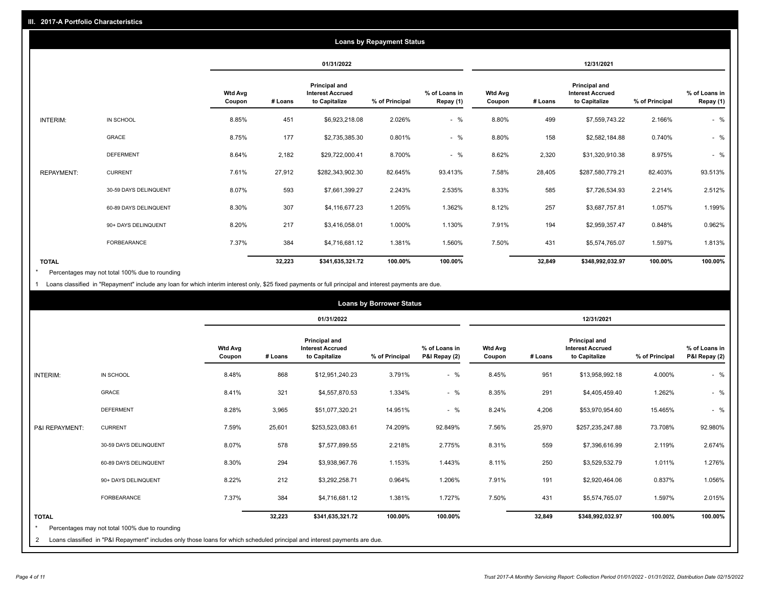|                   | <b>Loans by Repayment Status</b> |                          |            |                                                           |                |                            |                          |         |                                                           |                |                            |
|-------------------|----------------------------------|--------------------------|------------|-----------------------------------------------------------|----------------|----------------------------|--------------------------|---------|-----------------------------------------------------------|----------------|----------------------------|
|                   |                                  |                          | 01/31/2022 |                                                           |                |                            | 12/31/2021               |         |                                                           |                |                            |
|                   |                                  | <b>Wtd Avg</b><br>Coupon | # Loans    | Principal and<br><b>Interest Accrued</b><br>to Capitalize | % of Principal | % of Loans in<br>Repay (1) | <b>Wtd Avg</b><br>Coupon | # Loans | Principal and<br><b>Interest Accrued</b><br>to Capitalize | % of Principal | % of Loans in<br>Repay (1) |
| INTERIM:          | IN SCHOOL                        | 8.85%                    | 451        | \$6,923,218.08                                            | 2.026%         | $-$ %                      | 8.80%                    | 499     | \$7,559,743.22                                            | 2.166%         | $-$ %                      |
|                   | GRACE                            | 8.75%                    | 177        | \$2,735,385.30                                            | 0.801%         | $-$ %                      | 8.80%                    | 158     | \$2,582,184.88                                            | 0.740%         | $-$ %                      |
|                   | <b>DEFERMENT</b>                 | 8.64%                    | 2,182      | \$29,722,000.41                                           | 8.700%         | $-$ %                      | 8.62%                    | 2,320   | \$31,320,910.38                                           | 8.975%         | $-$ %                      |
| <b>REPAYMENT:</b> | <b>CURRENT</b>                   | 7.61%                    | 27,912     | \$282,343,902.30                                          | 82.645%        | 93.413%                    | 7.58%                    | 28,405  | \$287,580,779.21                                          | 82.403%        | 93.513%                    |
|                   | 30-59 DAYS DELINQUENT            | 8.07%                    | 593        | \$7,661,399.27                                            | 2.243%         | 2.535%                     | 8.33%                    | 585     | \$7,726,534.93                                            | 2.214%         | 2.512%                     |
|                   | 60-89 DAYS DELINQUENT            | 8.30%                    | 307        | \$4,116,677.23                                            | 1.205%         | 1.362%                     | 8.12%                    | 257     | \$3,687,757.81                                            | 1.057%         | 1.199%                     |
|                   | 90+ DAYS DELINQUENT              | 8.20%                    | 217        | \$3,416,058.01                                            | 1.000%         | 1.130%                     | 7.91%                    | 194     | \$2,959,357.47                                            | 0.848%         | 0.962%                     |
|                   | <b>FORBEARANCE</b>               | 7.37%                    | 384        | \$4,716,681.12                                            | 1.381%         | 1.560%                     | 7.50%                    | 431     | \$5,574,765.07                                            | 1.597%         | 1.813%                     |
| <b>TOTAL</b>      |                                  |                          | 32,223     | \$341,635,321.72                                          | 100.00%        | 100.00%                    |                          | 32,849  | \$348,992,032.97                                          | 100.00%        | 100.00%                    |

Percentages may not total 100% due to rounding \*

1 Loans classified in "Repayment" include any loan for which interim interest only, \$25 fixed payments or full principal and interest payments are due.

| <b>Loans by Borrower Status</b> |                                                                                                                                                                              |                          |         |                                                           |                |                                |                          |         |                                                                  |                |                                |
|---------------------------------|------------------------------------------------------------------------------------------------------------------------------------------------------------------------------|--------------------------|---------|-----------------------------------------------------------|----------------|--------------------------------|--------------------------|---------|------------------------------------------------------------------|----------------|--------------------------------|
|                                 |                                                                                                                                                                              |                          |         | 01/31/2022                                                |                |                                |                          |         | 12/31/2021                                                       |                |                                |
|                                 |                                                                                                                                                                              | <b>Wtd Avg</b><br>Coupon | # Loans | Principal and<br><b>Interest Accrued</b><br>to Capitalize | % of Principal | % of Loans in<br>P&I Repay (2) | <b>Wtd Avg</b><br>Coupon | # Loans | <b>Principal and</b><br><b>Interest Accrued</b><br>to Capitalize | % of Principal | % of Loans in<br>P&I Repay (2) |
| INTERIM:                        | IN SCHOOL                                                                                                                                                                    | 8.48%                    | 868     | \$12,951,240.23                                           | 3.791%         | $-$ %                          | 8.45%                    | 951     | \$13,958,992.18                                                  | 4.000%         | $-$ %                          |
|                                 | <b>GRACE</b>                                                                                                                                                                 | 8.41%                    | 321     | \$4,557,870.53                                            | 1.334%         | $-$ %                          | 8.35%                    | 291     | \$4,405,459.40                                                   | 1.262%         | $-$ %                          |
|                                 | <b>DEFERMENT</b>                                                                                                                                                             | 8.28%                    | 3,965   | \$51,077,320.21                                           | 14.951%        | $-$ %                          | 8.24%                    | 4,206   | \$53,970,954.60                                                  | 15.465%        | $-$ %                          |
| P&I REPAYMENT:                  | <b>CURRENT</b>                                                                                                                                                               | 7.59%                    | 25,601  | \$253,523,083.61                                          | 74.209%        | 92.849%                        | 7.56%                    | 25,970  | \$257,235,247.88                                                 | 73.708%        | 92.980%                        |
|                                 | 30-59 DAYS DELINQUENT                                                                                                                                                        | 8.07%                    | 578     | \$7,577,899.55                                            | 2.218%         | 2.775%                         | 8.31%                    | 559     | \$7,396,616.99                                                   | 2.119%         | 2.674%                         |
|                                 | 60-89 DAYS DELINQUENT                                                                                                                                                        | 8.30%                    | 294     | \$3,938,967.76                                            | 1.153%         | 1.443%                         | 8.11%                    | 250     | \$3,529,532.79                                                   | 1.011%         | 1.276%                         |
|                                 | 90+ DAYS DELINQUENT                                                                                                                                                          | 8.22%                    | 212     | \$3,292,258.71                                            | 0.964%         | 1.206%                         | 7.91%                    | 191     | \$2,920,464.06                                                   | 0.837%         | 1.056%                         |
|                                 | FORBEARANCE                                                                                                                                                                  | 7.37%                    | 384     | \$4,716,681.12                                            | 1.381%         | 1.727%                         | 7.50%                    | 431     | \$5,574,765.07                                                   | 1.597%         | 2.015%                         |
| <b>TOTAL</b><br>$\star$<br>2    | Percentages may not total 100% due to rounding<br>Loans classified in "P&I Repayment" includes only those loans for which scheduled principal and interest payments are due. |                          | 32,223  | \$341,635,321.72                                          | 100.00%        | 100.00%                        |                          | 32,849  | \$348,992,032.97                                                 | 100.00%        | 100.00%                        |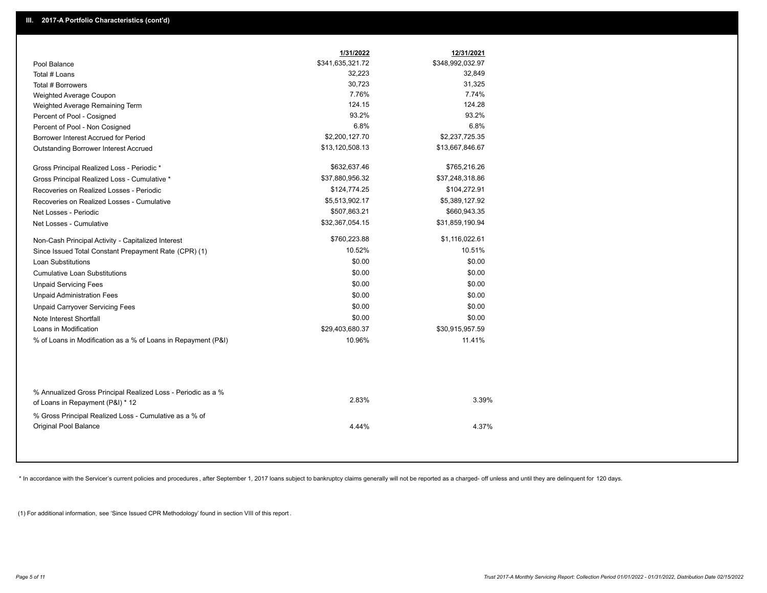|                                                                                        | 1/31/2022        | 12/31/2021       |
|----------------------------------------------------------------------------------------|------------------|------------------|
| Pool Balance                                                                           | \$341,635,321.72 | \$348,992,032.97 |
| Total # Loans                                                                          | 32,223           | 32,849           |
| Total # Borrowers                                                                      | 30,723           | 31,325           |
| Weighted Average Coupon                                                                | 7.76%            | 7.74%            |
| Weighted Average Remaining Term                                                        | 124.15           | 124.28           |
| Percent of Pool - Cosigned                                                             | 93.2%            | 93.2%            |
| Percent of Pool - Non Cosigned                                                         | 6.8%             | 6.8%             |
| Borrower Interest Accrued for Period                                                   | \$2,200,127.70   | \$2,237,725.35   |
| Outstanding Borrower Interest Accrued                                                  | \$13,120,508.13  | \$13,667,846.67  |
| Gross Principal Realized Loss - Periodic *                                             | \$632,637.46     | \$765,216.26     |
| Gross Principal Realized Loss - Cumulative *                                           | \$37,880,956.32  | \$37,248,318.86  |
| Recoveries on Realized Losses - Periodic                                               | \$124,774.25     | \$104,272.91     |
| Recoveries on Realized Losses - Cumulative                                             | \$5,513,902.17   | \$5,389,127.92   |
| Net Losses - Periodic                                                                  | \$507,863.21     | \$660,943.35     |
| Net Losses - Cumulative                                                                | \$32,367,054.15  | \$31,859,190.94  |
| Non-Cash Principal Activity - Capitalized Interest                                     | \$760,223.88     | \$1,116,022.61   |
| Since Issued Total Constant Prepayment Rate (CPR) (1)                                  | 10.52%           | 10.51%           |
| <b>Loan Substitutions</b>                                                              | \$0.00           | \$0.00           |
| <b>Cumulative Loan Substitutions</b>                                                   | \$0.00           | \$0.00           |
| <b>Unpaid Servicing Fees</b>                                                           | \$0.00           | \$0.00           |
| <b>Unpaid Administration Fees</b>                                                      | \$0.00           | \$0.00           |
| <b>Unpaid Carryover Servicing Fees</b>                                                 | \$0.00           | \$0.00           |
| Note Interest Shortfall                                                                | \$0.00           | \$0.00           |
| Loans in Modification                                                                  | \$29,403,680.37  | \$30,915,957.59  |
| % of Loans in Modification as a % of Loans in Repayment (P&I)                          | 10.96%           | 11.41%           |
| % Annualized Gross Principal Realized Loss - Periodic as a %                           |                  |                  |
| of Loans in Repayment (P&I) * 12                                                       | 2.83%            | 3.39%            |
| % Gross Principal Realized Loss - Cumulative as a % of<br><b>Original Pool Balance</b> | 4.44%            | 4.37%            |

\* In accordance with the Servicer's current policies and procedures, after September 1, 2017 loans subject to bankruptcy claims generally will not be reported as a charged- off unless and until they are delinquent for 120

(1) For additional information, see 'Since Issued CPR Methodology' found in section VIII of this report .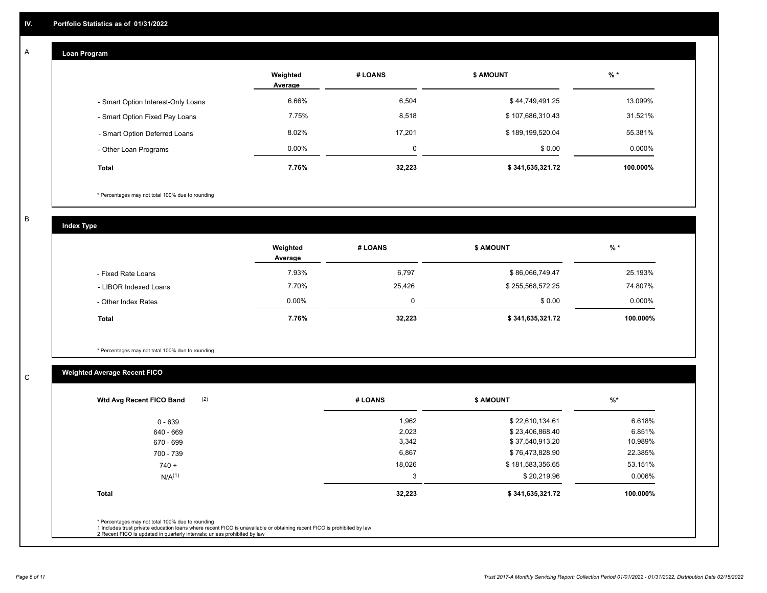#### **Loan Program**  A

|                                    | Weighted<br>Average | # LOANS  | <b>\$ AMOUNT</b> | $%$ *    |
|------------------------------------|---------------------|----------|------------------|----------|
| - Smart Option Interest-Only Loans | 6.66%               | 6,504    | \$44,749,491.25  | 13.099%  |
| - Smart Option Fixed Pay Loans     | 7.75%               | 8,518    | \$107,686,310.43 | 31.521%  |
| - Smart Option Deferred Loans      | 8.02%               | 17.201   | \$189,199,520.04 | 55.381%  |
| - Other Loan Programs              | $0.00\%$            | $\Omega$ | \$0.00           | 0.000%   |
| <b>Total</b>                       | 7.76%               | 32,223   | \$341,635,321.72 | 100.000% |

\* Percentages may not total 100% due to rounding

B

C

**Index Type**

|                       | Weighted<br>Average | # LOANS | <b>\$ AMOUNT</b> | $%$ *    |
|-----------------------|---------------------|---------|------------------|----------|
| - Fixed Rate Loans    | 7.93%               | 6,797   | \$86,066,749.47  | 25.193%  |
| - LIBOR Indexed Loans | 7.70%               | 25,426  | \$255,568,572.25 | 74.807%  |
| - Other Index Rates   | $0.00\%$            | 0       | \$0.00           | 0.000%   |
| Total                 | 7.76%               | 32,223  | \$341,635,321.72 | 100.000% |

\* Percentages may not total 100% due to rounding

## **Weighted Average Recent FICO**

| (2)<br>Wtd Avg Recent FICO Band                                                                                                                                             | # LOANS | <b>\$ AMOUNT</b> | $\frac{9}{6}$ * |
|-----------------------------------------------------------------------------------------------------------------------------------------------------------------------------|---------|------------------|-----------------|
| $0 - 639$                                                                                                                                                                   | 1,962   | \$22,610,134.61  | 6.618%          |
| 640 - 669                                                                                                                                                                   | 2,023   | \$23,406,868.40  | 6.851%          |
| 670 - 699                                                                                                                                                                   | 3,342   | \$37,540,913.20  | 10.989%         |
| 700 - 739                                                                                                                                                                   | 6,867   | \$76,473,828.90  | 22.385%         |
| $740 +$                                                                                                                                                                     | 18,026  | \$181,583,356.65 | 53.151%         |
| N/A <sup>(1)</sup>                                                                                                                                                          | 3       | \$20,219.96      | 0.006%          |
| <b>Total</b>                                                                                                                                                                | 32,223  | \$341,635,321.72 | 100.000%        |
| * Percentages may not total 100% due to rounding<br>1 Includes trust private education loans where recent FICO is unavailable or obtaining recent FICO is prohibited by law |         |                  |                 |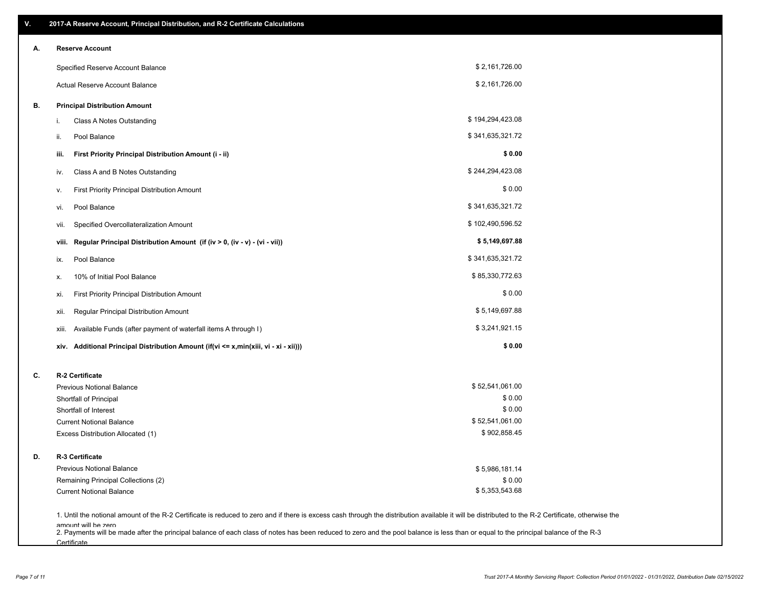| V. | 2017-A Reserve Account, Principal Distribution, and R-2 Certificate Calculations                                                                                                                                          |                  |  |
|----|---------------------------------------------------------------------------------------------------------------------------------------------------------------------------------------------------------------------------|------------------|--|
| А. | <b>Reserve Account</b>                                                                                                                                                                                                    |                  |  |
|    | Specified Reserve Account Balance                                                                                                                                                                                         | \$2,161,726.00   |  |
|    | Actual Reserve Account Balance                                                                                                                                                                                            | \$2,161,726.00   |  |
| В. | <b>Principal Distribution Amount</b>                                                                                                                                                                                      |                  |  |
|    | Class A Notes Outstanding<br>i.                                                                                                                                                                                           | \$194,294,423.08 |  |
|    | Pool Balance<br>ii.                                                                                                                                                                                                       | \$341,635,321.72 |  |
|    | First Priority Principal Distribution Amount (i - ii)<br>iii.                                                                                                                                                             | \$0.00           |  |
|    | Class A and B Notes Outstanding<br>iv.                                                                                                                                                                                    | \$244,294,423.08 |  |
|    | First Priority Principal Distribution Amount<br>۷.                                                                                                                                                                        | \$0.00           |  |
|    | Pool Balance<br>vi.                                                                                                                                                                                                       | \$341,635,321.72 |  |
|    | Specified Overcollateralization Amount<br>vii.                                                                                                                                                                            | \$102,490,596.52 |  |
|    | Regular Principal Distribution Amount (if (iv > 0, (iv - v) - (vi - vii))<br>viii.                                                                                                                                        | \$5,149,697.88   |  |
|    | Pool Balance<br>ix.                                                                                                                                                                                                       | \$341,635,321.72 |  |
|    | 10% of Initial Pool Balance<br>х.                                                                                                                                                                                         | \$85,330,772.63  |  |
|    | First Priority Principal Distribution Amount<br>xi.                                                                                                                                                                       | \$0.00           |  |
|    | Regular Principal Distribution Amount<br>xii.                                                                                                                                                                             | \$5,149,697.88   |  |
|    | Available Funds (after payment of waterfall items A through I)<br>xiii.                                                                                                                                                   | \$3,241,921.15   |  |
|    | xiv. Additional Principal Distribution Amount (if(vi <= x,min(xiii, vi - xi - xii)))                                                                                                                                      | \$0.00           |  |
| C. | R-2 Certificate                                                                                                                                                                                                           |                  |  |
|    | <b>Previous Notional Balance</b>                                                                                                                                                                                          | \$52,541,061.00  |  |
|    | Shortfall of Principal                                                                                                                                                                                                    | \$0.00           |  |
|    | Shortfall of Interest                                                                                                                                                                                                     | \$0.00           |  |
|    | <b>Current Notional Balance</b>                                                                                                                                                                                           | \$52,541,061.00  |  |
|    | Excess Distribution Allocated (1)                                                                                                                                                                                         | \$902,858.45     |  |
| D. | R-3 Certificate                                                                                                                                                                                                           |                  |  |
|    | <b>Previous Notional Balance</b>                                                                                                                                                                                          | \$5,986,181.14   |  |
|    | Remaining Principal Collections (2)                                                                                                                                                                                       | \$0.00           |  |
|    | <b>Current Notional Balance</b>                                                                                                                                                                                           | \$5,353,543.68   |  |
|    | 1. Until the notional amount of the R-2 Certificate is reduced to zero and if there is excess cash through the distribution available it will be distributed to the R-2 Certificate, otherwise the<br>amount will be zero |                  |  |

amount will be zero<br>2. Payments will be made after the principal balance of each class of notes has been reduced to zero and the pool balance is less than or equal to the principal balance of the R-3 **Certificate**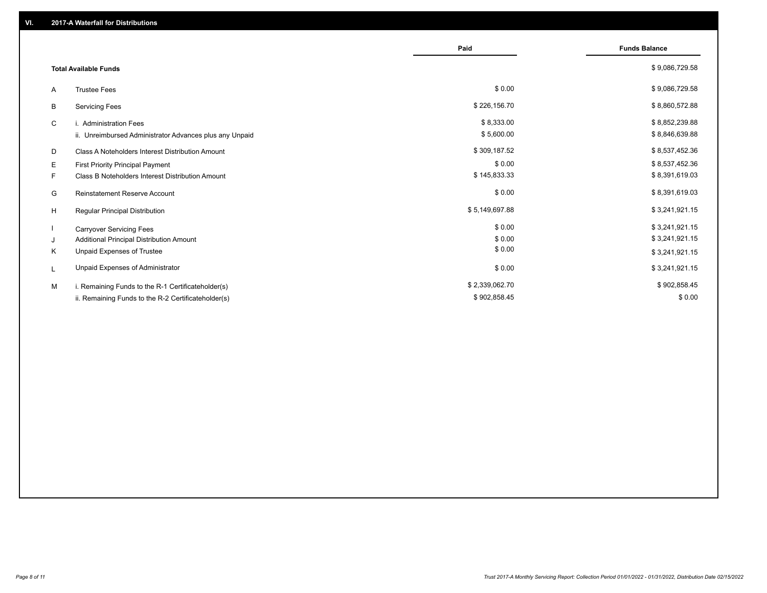|                                                         | Paid           | <b>Funds Balance</b> |
|---------------------------------------------------------|----------------|----------------------|
| <b>Total Available Funds</b>                            |                | \$9,086,729.58       |
| <b>Trustee Fees</b><br>A                                | \$0.00         | \$9,086,729.58       |
| В<br><b>Servicing Fees</b>                              | \$226,156.70   | \$8,860,572.88       |
| C<br>i. Administration Fees                             | \$8,333.00     | \$8,852,239.88       |
| ii. Unreimbursed Administrator Advances plus any Unpaid | \$5,600.00     | \$8,846,639.88       |
| Class A Noteholders Interest Distribution Amount<br>D   | \$309,187.52   | \$8,537,452.36       |
| Е<br><b>First Priority Principal Payment</b>            | \$0.00         | \$8,537,452.36       |
| Class B Noteholders Interest Distribution Amount<br>F.  | \$145,833.33   | \$8,391,619.03       |
| G<br><b>Reinstatement Reserve Account</b>               | \$0.00         | \$8,391,619.03       |
| H<br>Regular Principal Distribution                     | \$5,149,697.88 | \$3,241,921.15       |
| <b>Carryover Servicing Fees</b>                         | \$0.00         | \$3,241,921.15       |
| Additional Principal Distribution Amount<br>J           | \$0.00         | \$3,241,921.15       |
| Unpaid Expenses of Trustee<br>Κ                         | \$0.00         | \$3,241,921.15       |
| Unpaid Expenses of Administrator<br>L                   | \$0.00         | \$3,241,921.15       |
| M<br>i. Remaining Funds to the R-1 Certificateholder(s) | \$2,339,062.70 | \$902,858.45         |
| ii. Remaining Funds to the R-2 Certificateholder(s)     | \$902,858.45   | \$0.00               |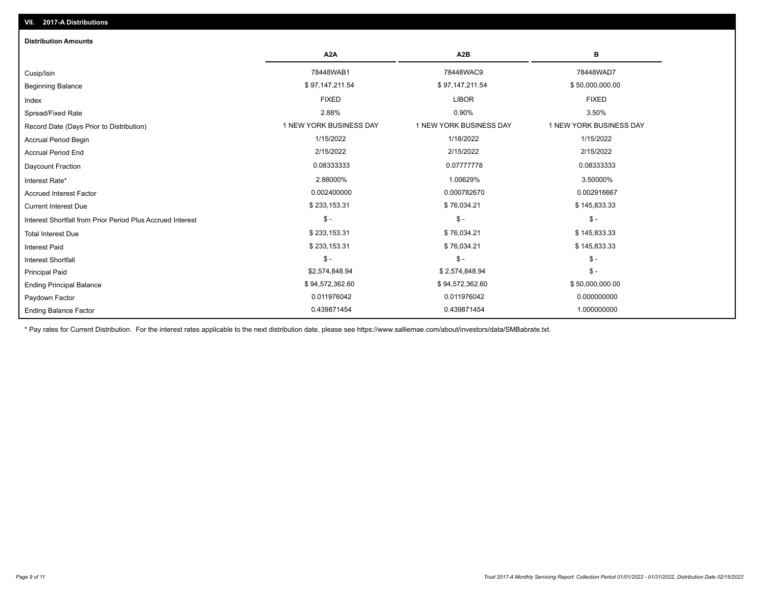| <b>Distribution Amounts</b>                                |                         |                         |                         |
|------------------------------------------------------------|-------------------------|-------------------------|-------------------------|
|                                                            | A <sub>2</sub> A        | A <sub>2</sub> B        | в                       |
| Cusip/Isin                                                 | 78448WAB1               | 78448WAC9               | 78448WAD7               |
| <b>Beginning Balance</b>                                   | \$97,147,211.54         | \$97,147,211.54         | \$50,000,000.00         |
| Index                                                      | <b>FIXED</b>            | <b>LIBOR</b>            | <b>FIXED</b>            |
| Spread/Fixed Rate                                          | 2.88%                   | 0.90%                   | 3.50%                   |
| Record Date (Days Prior to Distribution)                   | 1 NEW YORK BUSINESS DAY | 1 NEW YORK BUSINESS DAY | 1 NEW YORK BUSINESS DAY |
| <b>Accrual Period Begin</b>                                | 1/15/2022               | 1/18/2022               | 1/15/2022               |
| <b>Accrual Period End</b>                                  | 2/15/2022               | 2/15/2022               | 2/15/2022               |
| <b>Daycount Fraction</b>                                   | 0.08333333              | 0.07777778              | 0.08333333              |
| Interest Rate*                                             | 2.88000%                | 1.00629%                | 3.50000%                |
| <b>Accrued Interest Factor</b>                             | 0.002400000             | 0.000782670             | 0.002916667             |
| <b>Current Interest Due</b>                                | \$233,153.31            | \$76,034.21             | \$145,833.33            |
| Interest Shortfall from Prior Period Plus Accrued Interest | $\mathsf{\$}$ -         | $$ -$                   | $\mathcal{S}$ -         |
| <b>Total Interest Due</b>                                  | \$233,153.31            | \$76,034.21             | \$145,833.33            |
| <b>Interest Paid</b>                                       | \$233,153.31            | \$76,034.21             | \$145,833.33            |
| Interest Shortfall                                         | $$ -$                   | $$ -$                   | $\mathsf{\$}$ -         |
| <b>Principal Paid</b>                                      | \$2,574,848.94          | \$2,574,848.94          | $$ -$                   |
| <b>Ending Principal Balance</b>                            | \$94,572,362.60         | \$94,572,362.60         | \$50,000,000.00         |
| Paydown Factor                                             | 0.011976042             | 0.011976042             | 0.000000000             |
| <b>Ending Balance Factor</b>                               | 0.439871454             | 0.439871454             | 1.000000000             |

\* Pay rates for Current Distribution. For the interest rates applicable to the next distribution date, please see https://www.salliemae.com/about/investors/data/SMBabrate.txt.

**VII. 2017-A Distributions**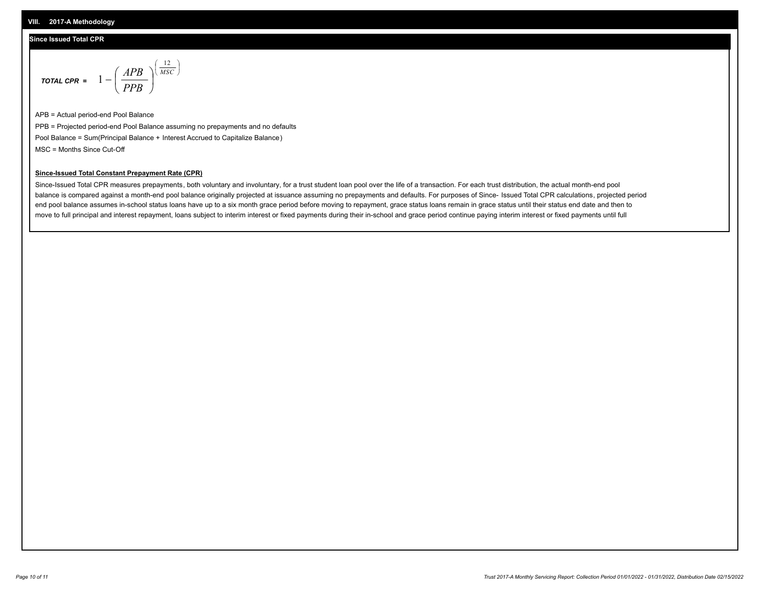## **Since Issued Total CPR**

$$
\text{total cPR} = 1 - \left(\frac{APB}{PPB}\right)^{\left(\frac{12}{MSC}\right)}
$$

APB = Actual period-end Pool Balance PPB = Projected period-end Pool Balance assuming no prepayments and no defaults Pool Balance = Sum(Principal Balance + Interest Accrued to Capitalize Balance) MSC = Months Since Cut-Off

I J Ι

## **Since-Issued Total Constant Prepayment Rate (CPR)**

Since-Issued Total CPR measures prepayments, both voluntary and involuntary, for a trust student loan pool over the life of a transaction. For each trust distribution, the actual month-end pool balance is compared against a month-end pool balance originally projected at issuance assuming no prepayments and defaults. For purposes of Since- Issued Total CPR calculations, projected period end pool balance assumes in-school status loans have up to a six month grace period before moving to repayment, grace status loans remain in grace status until their status end date and then to move to full principal and interest repayment, loans subject to interim interest or fixed payments during their in-school and grace period continue paying interim interest or fixed payments until full